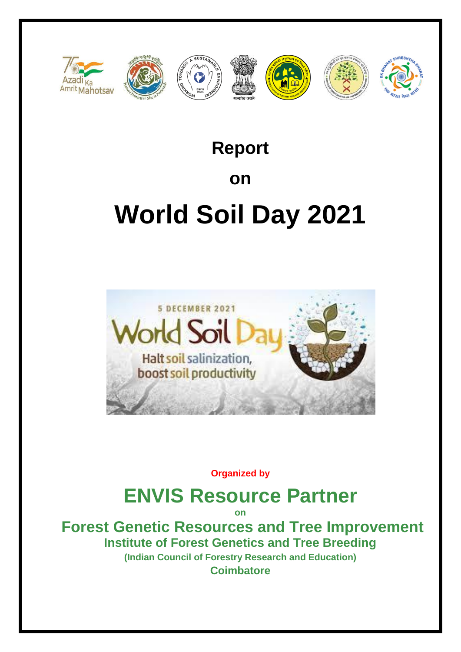

## **Report on World Soil Day 2021**



**Organized by**

## **ENVIS Resource Partner**

**on**

**Forest Genetic Resources and Tree Improvement Institute of Forest Genetics and Tree Breeding (Indian Council of Forestry Research and Education)**

**Coimbatore**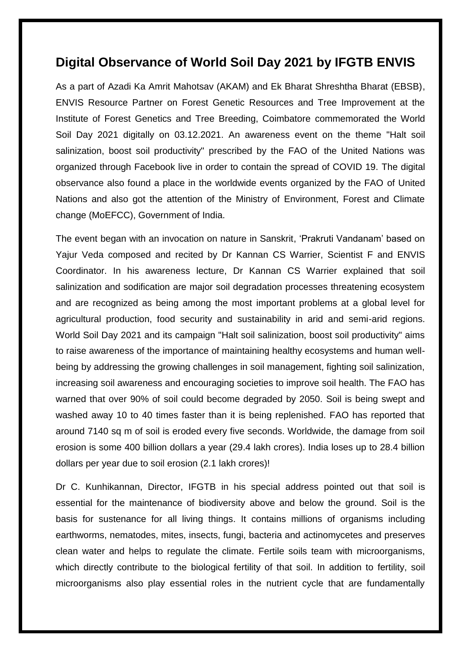## **Digital Observance of World Soil Day 2021 by IFGTB ENVIS**

As a part of Azadi Ka Amrit Mahotsav (AKAM) and Ek Bharat Shreshtha Bharat (EBSB), ENVIS Resource Partner on Forest Genetic Resources and Tree Improvement at the Institute of Forest Genetics and Tree Breeding, Coimbatore commemorated the World Soil Day 2021 digitally on 03.12.2021. An awareness event on the theme "Halt soil salinization, boost soil productivity" prescribed by the FAO of the United Nations was organized through Facebook live in order to contain the spread of COVID 19. The digital observance also found a place in the worldwide events organized by the FAO of United Nations and also got the attention of the Ministry of Environment, Forest and Climate change (MoEFCC), Government of India.

The event began with an invocation on nature in Sanskrit, 'Prakruti Vandanam' based on Yajur Veda composed and recited by Dr Kannan CS Warrier, Scientist F and ENVIS Coordinator. In his awareness lecture, Dr Kannan CS Warrier explained that soil salinization and sodification are major soil degradation processes threatening ecosystem and are recognized as being among the most important problems at a global level for agricultural production, food security and sustainability in arid and semi-arid regions. World Soil Day 2021 and its campaign "Halt soil salinization, boost soil productivity" aims to raise awareness of the importance of maintaining healthy ecosystems and human wellbeing by addressing the growing challenges in soil management, fighting soil salinization, increasing soil awareness and encouraging societies to improve soil health. The FAO has warned that over 90% of soil could become degraded by 2050. Soil is being swept and washed away 10 to 40 times faster than it is being replenished. FAO has reported that around 7140 sq m of soil is eroded every five seconds. Worldwide, the damage from soil erosion is some 400 billion dollars a year (29.4 lakh crores). India loses up to 28.4 billion dollars per year due to soil erosion (2.1 lakh crores)!

Dr C. Kunhikannan, Director, IFGTB in his special address pointed out that soil is essential for the maintenance of biodiversity above and below the ground. Soil is the basis for sustenance for all living things. It contains millions of organisms including earthworms, nematodes, mites, insects, fungi, bacteria and actinomycetes and preserves clean water and helps to regulate the climate. Fertile soils team with microorganisms, which directly contribute to the biological fertility of that soil. In addition to fertility, soil microorganisms also play essential roles in the nutrient cycle that are fundamentally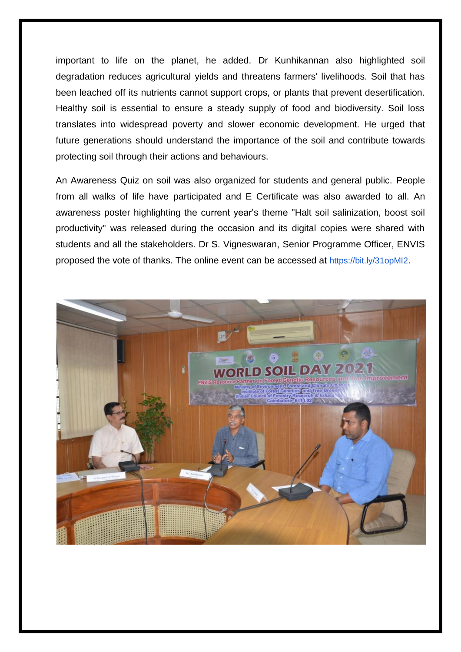important to life on the planet, he added. Dr Kunhikannan also highlighted soil degradation reduces agricultural yields and threatens farmers' livelihoods. Soil that has been leached off its nutrients cannot support crops, or plants that prevent desertification. Healthy soil is essential to ensure a steady supply of food and biodiversity. Soil loss translates into widespread poverty and slower economic development. He urged that future generations should understand the importance of the soil and contribute towards protecting soil through their actions and behaviours.

An Awareness Quiz on soil was also organized for students and general public. People from all walks of life have participated and E Certificate was also awarded to all. An awareness poster highlighting the current year's theme "Halt soil salinization, boost soil productivity" was released during the occasion and its digital copies were shared with students and all the stakeholders. Dr S. Vigneswaran, Senior Programme Officer, ENVIS proposed the vote of thanks. The online event can be accessed at <https://bit.ly/31opMI2>.

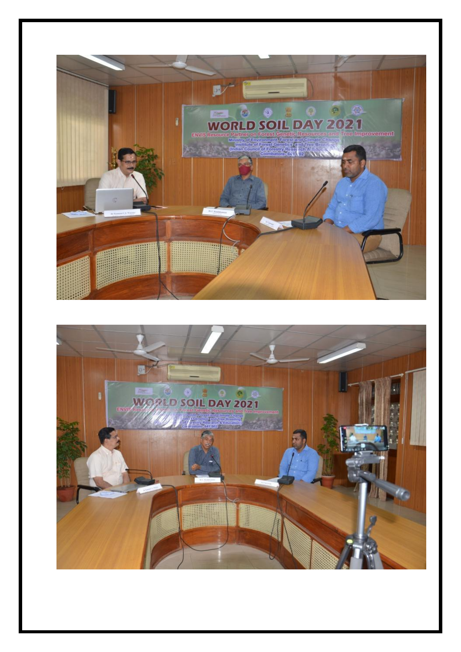

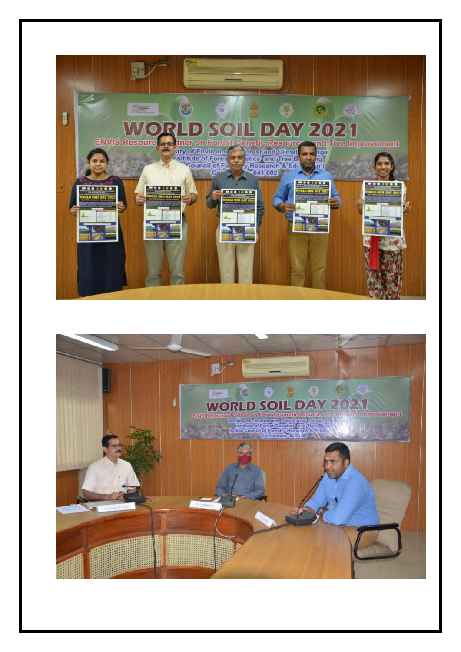